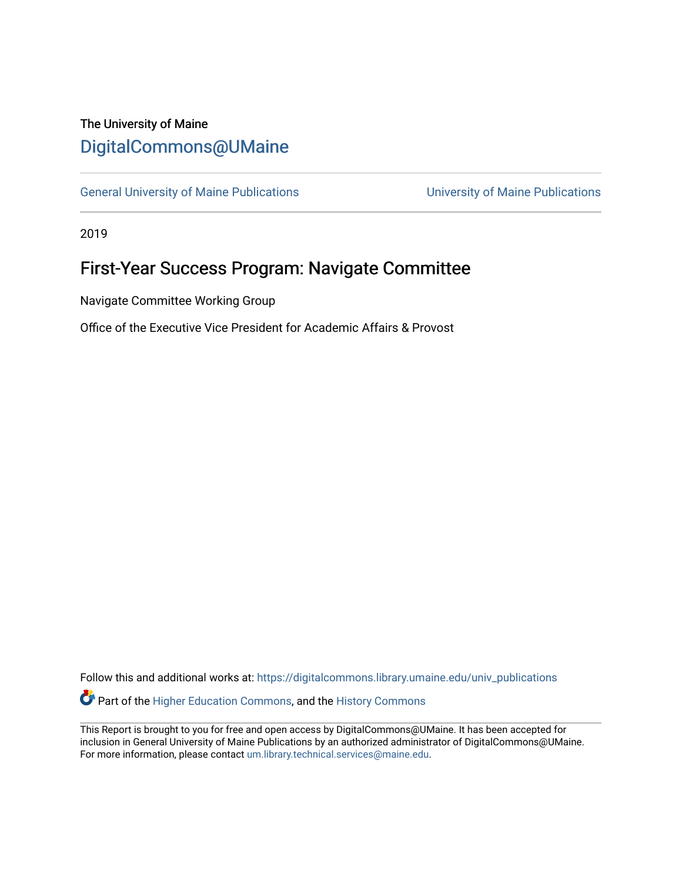# The University of Maine [DigitalCommons@UMaine](https://digitalcommons.library.umaine.edu/)

[General University of Maine Publications](https://digitalcommons.library.umaine.edu/univ_publications) [University of Maine Publications](https://digitalcommons.library.umaine.edu/umaine_publications) 

2019

# First-Year Success Program: Navigate Committee

Navigate Committee Working Group

Office of the Executive Vice President for Academic Affairs & Provost

Follow this and additional works at: [https://digitalcommons.library.umaine.edu/univ\\_publications](https://digitalcommons.library.umaine.edu/univ_publications?utm_source=digitalcommons.library.umaine.edu%2Funiv_publications%2F1960&utm_medium=PDF&utm_campaign=PDFCoverPages)  Part of the [Higher Education Commons,](http://network.bepress.com/hgg/discipline/1245?utm_source=digitalcommons.library.umaine.edu%2Funiv_publications%2F1960&utm_medium=PDF&utm_campaign=PDFCoverPages) and the [History Commons](http://network.bepress.com/hgg/discipline/489?utm_source=digitalcommons.library.umaine.edu%2Funiv_publications%2F1960&utm_medium=PDF&utm_campaign=PDFCoverPages)

This Report is brought to you for free and open access by DigitalCommons@UMaine. It has been accepted for inclusion in General University of Maine Publications by an authorized administrator of DigitalCommons@UMaine. For more information, please contact [um.library.technical.services@maine.edu](mailto:um.library.technical.services@maine.edu).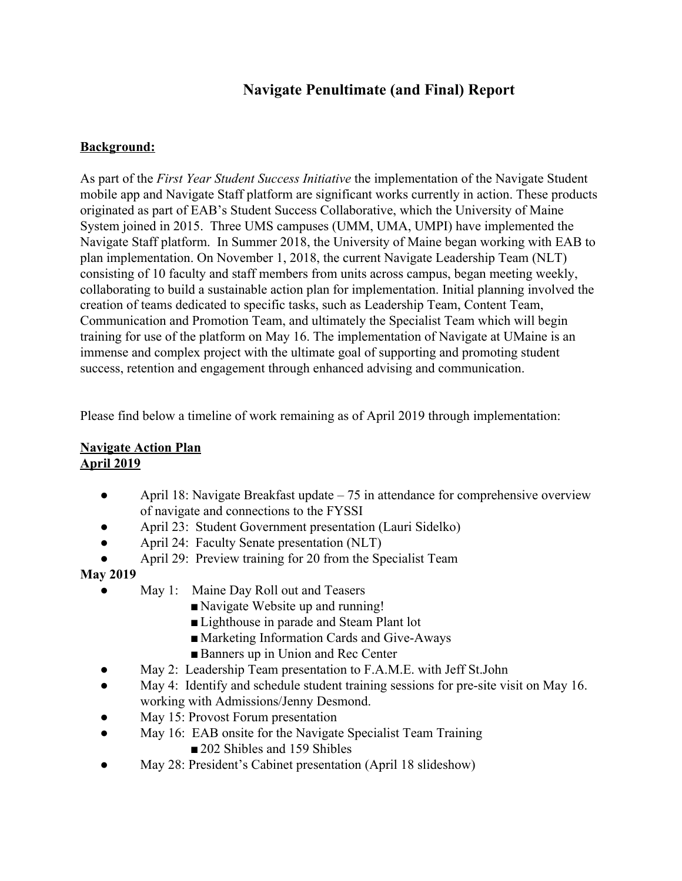# **Navigate Penultimate (and Final) Report**

#### **Background:**

As part of the *First Year Student Success Initiative* the implementation of the Navigate Student mobile app and Navigate Staff platform are significant works currently in action. These products originated as part of EAB's Student Success Collaborative, which the University of Maine System joined in 2015. Three UMS campuses (UMM, UMA, UMPI) have implemented the Navigate Staff platform. In Summer 2018, the University of Maine began working with EAB to plan implementation. On November 1, 2018, the current Navigate Leadership Team (NLT) consisting of 10 faculty and staff members from units across campus, began meeting weekly, collaborating to build a sustainable action plan for implementation. Initial planning involved the creation of teams dedicated to specific tasks, such as Leadership Team, Content Team, Communication and Promotion Team, and ultimately the Specialist Team which will begin training for use of the platform on May 16. The implementation of Navigate at UMaine is an immense and complex project with the ultimate goal of supporting and promoting student success, retention and engagement through enhanced advising and communication.

Please find below a timeline of work remaining as of April 2019 through implementation:

#### **Navigate Action Plan April 2019**

- April 18: Navigate Breakfast update 75 in attendance for comprehensive overview of navigate and connections to the FYSSI
- April 23: Student Government presentation (Lauri Sidelko)
- April 24: Faculty Senate presentation (NLT)
- April 29: Preview training for 20 from the Specialist Team

#### **May 2019**

- May 1: Maine Day Roll out and Teasers
	- Navigate Website up and running!
	- Lighthouse in parade and Steam Plant lot
	- Marketing Information Cards and Give-Aways
	- Banners up in Union and Rec Center
- May 2: Leadership Team presentation to F.A.M.E. with Jeff St.John
- May 4: Identify and schedule student training sessions for pre-site visit on May 16. working with Admissions/Jenny Desmond.
- May 15: Provost Forum presentation
- May 16: EAB onsite for the Navigate Specialist Team Training ■ 202 Shibles and 159 Shibles
- May 28: President's Cabinet presentation (April 18 slideshow)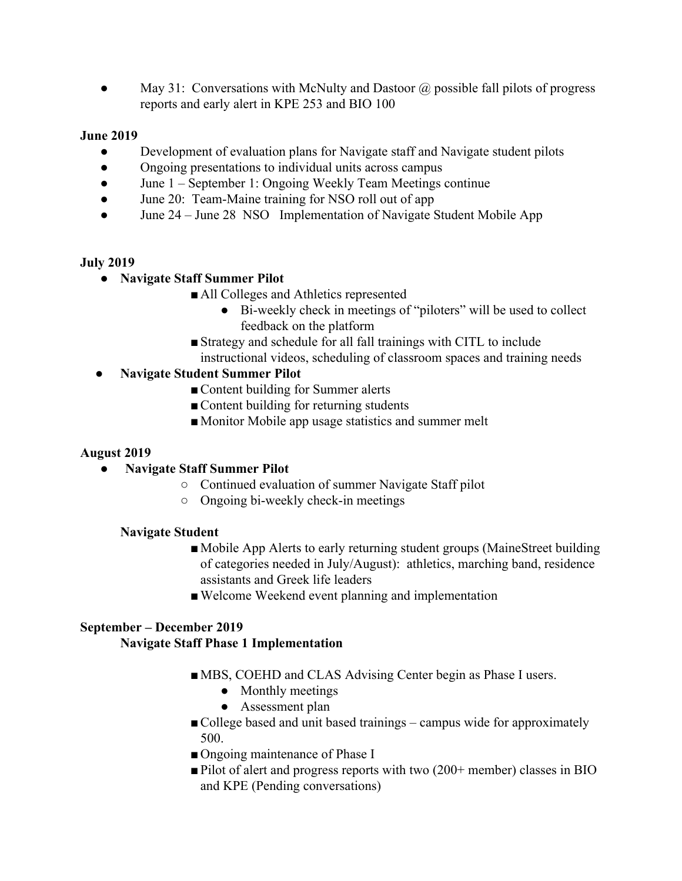• May 31: Conversations with McNulty and Dastoor  $\hat{\omega}$  possible fall pilots of progress reports and early alert in KPE 253 and BIO 100

#### **June 2019**

- Development of evaluation plans for Navigate staff and Navigate student pilots
- Ongoing presentations to individual units across campus
- June 1 September 1: Ongoing Weekly Team Meetings continue
- June 20: Team-Maine training for NSO roll out of app
- June 24 June 28 NSO Implementation of Navigate Student Mobile App

#### **July 2019**

- **● Navigate Staff Summer Pilot**
	- All Colleges and Athletics represented
		- Bi-weekly check in meetings of "piloters" will be used to collect feedback on the platform
	- ■Strategy and schedule for all fall trainings with CITL to include instructional videos, scheduling of classroom spaces and training needs

## **● Navigate Student Summer Pilot**

- Content building for Summer alerts
- Content building for returning students
- Monitor Mobile app usage statistics and summer melt

#### **August 2019**

- **● Navigate Staff Summer Pilot**
	- **○** Continued evaluation of summer Navigate Staff pilot
	- **○** Ongoing bi-weekly check-in meetings

#### **Navigate Student**

- ■Mobile App Alerts to early returning student groups (MaineStreet building of categories needed in July/August): athletics, marching band, residence assistants and Greek life leaders
- ■Welcome Weekend event planning and implementation

## **September – December 2019**

#### **Navigate Staff Phase 1 Implementation**

- MBS, COEHD and CLAS Advising Center begin as Phase I users.
	- Monthly meetings
	- Assessment plan
- College based and unit based trainings campus wide for approximately 500.
- Ongoing maintenance of Phase I
- ■Pilot of alert and progress reports with two (200+ member) classes in BIO and KPE (Pending conversations)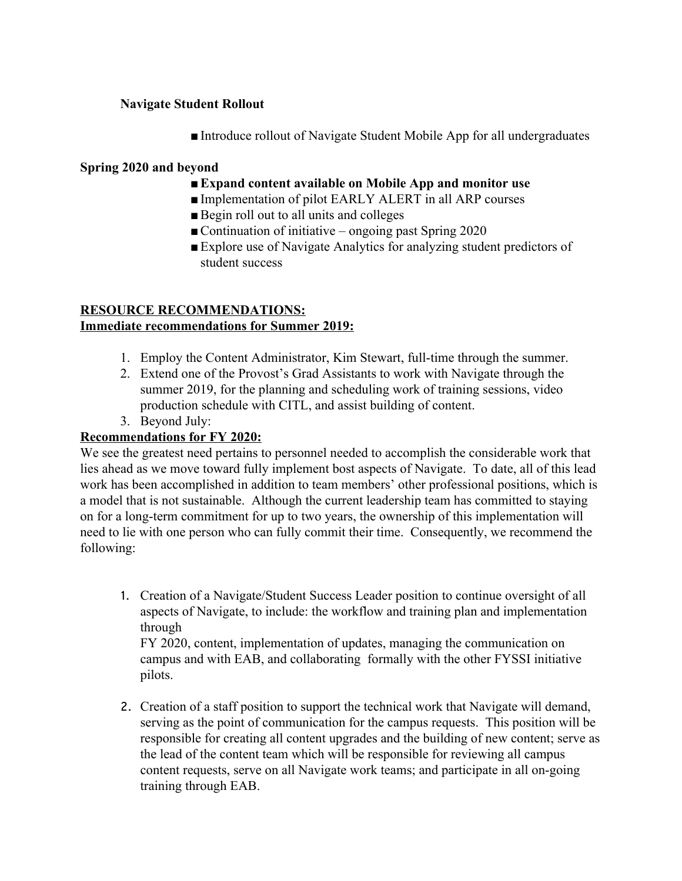#### **Navigate Student Rollout**

■ Introduce rollout of Navigate Student Mobile App for all undergraduates

#### **Spring 2020 and beyond**

- ■**Expand content available on Mobile App and monitor use**
- Implementation of pilot EARLY ALERT in all ARP courses
- Begin roll out to all units and colleges
- Continuation of initiative ongoing past Spring  $2020$
- ■Explore use of Navigate Analytics for analyzing student predictors of student success

### **RESOURCE RECOMMENDATIONS: Immediate recommendations for Summer 2019:**

- 1. Employ the Content Administrator, Kim Stewart, full-time through the summer.
- 2. Extend one of the Provost's Grad Assistants to work with Navigate through the summer 2019, for the planning and scheduling work of training sessions, video production schedule with CITL, and assist building of content.
- 3. Beyond July:

#### **Recommendations for FY 2020:**

We see the greatest need pertains to personnel needed to accomplish the considerable work that lies ahead as we move toward fully implement bost aspects of Navigate. To date, all of this lead work has been accomplished in addition to team members' other professional positions, which is a model that is not sustainable. Although the current leadership team has committed to staying on for a long-term commitment for up to two years, the ownership of this implementation will need to lie with one person who can fully commit their time. Consequently, we recommend the following:

1. Creation of a Navigate/Student Success Leader position to continue oversight of all aspects of Navigate, to include: the workflow and training plan and implementation through

FY 2020, content, implementation of updates, managing the communication on campus and with EAB, and collaborating formally with the other FYSSI initiative pilots.

2. Creation of a staff position to support the technical work that Navigate will demand, serving as the point of communication for the campus requests. This position will be responsible for creating all content upgrades and the building of new content; serve as the lead of the content team which will be responsible for reviewing all campus content requests, serve on all Navigate work teams; and participate in all on-going training through EAB.